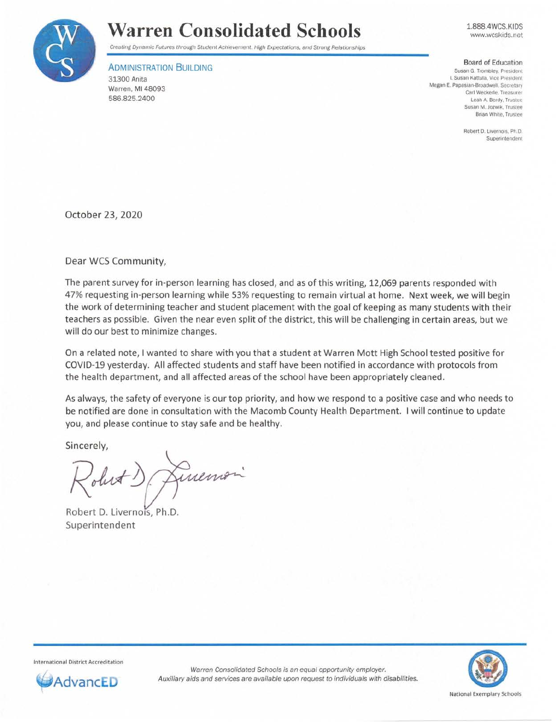

## **Warren Consolidated Schools**

1888.4WCS.KIDS www.wcskids.net

Creating Dynamic Futures through Student Achievement. High Expectations, and Strong Relationships

ADMINISTRATION BUILDING 31300 Anita Warren, Ml 48093 586.825.2400

Board of Education

**Susan G. Trombley. President I. Susan Kattula. Vice President Megan E. Papasian-Broadwell, Secretary Carl Weckerle. Treasurer Leah A. Berdy, Trustee**  Susan M. Jozwik, Trustee **Brian White, Trustee** 

> **Robert D. Livernois. Ph.D. Superintendent**

October 23, 2020

Dear WCS Community,

The parent survey for in-person learning has closed, and as of this writing, 12,069 parents responded with 47% requesting in-person learning while 53% requesting to remain virtual at home. Next week, we will begin the work of determining teacher and student placement with the goal of keeping as many students with their teachers as possible. Given the near even split of the district, this will be challenging in certain areas, but we will do our best to minimize changes.

On a related note, I wanted to share with you that a student at Warren Mott High School tested positive for COVID-19 yesterday. All affected students and staff have been notified in accordance with protocols from the health department, and all affected areas of the school have been appropriately cleaned.

As always, the safety of everyone is our top priority, and how we respond to a positive case and who needs to be notified are done in consultation with the Macomb County Health Department. I will continue to update you, and please continue to stay safe and be healthy.

Sincerely,

Lineman olest!

Robert D. Livernois, Ph.D. Superintendent

International District Accreditation



Warren Consolidated Schools is an equal opportunity employer. **AdvancED** Auxiliary aids and services are available upon request to individuals with disabilities.